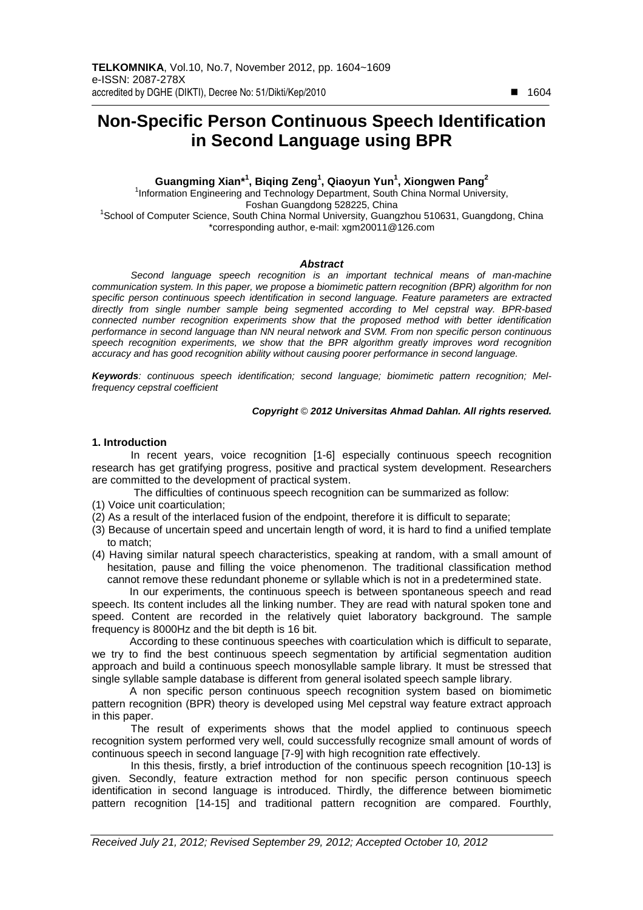# **Non-Specific Person Continuous Speech Identification in Second Language using BPR**

**Guangming Xian\*<sup>1</sup> , Biqing Zeng<sup>1</sup> , Qiaoyun Yun<sup>1</sup> , Xiongwen Pang<sup>2</sup>**

<sup>1</sup>Information Engineering and Technology Department, South China Normal University, Foshan Guangdong 528225, China

<sup>1</sup>School of Computer Science, South China Normal University, Guangzhou 510631, Guangdong, China \*corresponding author, e-mail: xgm20011@126.com

#### **Abstract**

Second language speech recognition is an important technical means of man-machine communication system. In this paper, we propose a biomimetic pattern recognition (BPR) algorithm for non specific person continuous speech identification in second language. Feature parameters are extracted directly from single number sample being segmented according to Mel cepstral way. BPR-based connected number recognition experiments show that the proposed method with better identification performance in second language than NN neural network and SVM. From non specific person continuous speech recognition experiments, we show that the BPR algorithm greatly improves word recognition accuracy and has good recognition ability without causing poorer performance in second language.

**Keywords**: continuous speech identification; second language; biomimetic pattern recognition; Melfrequency cepstral coefficient

#### **Copyright** © **2012 Universitas Ahmad Dahlan. All rights reserved.**

#### **1. Introduction**

In recent years, voice recognition [1-6] especially continuous speech recognition research has get gratifying progress, positive and practical system development. Researchers are committed to the development of practical system.

The difficulties of continuous speech recognition can be summarized as follow:

- (1) Voice unit coarticulation;
- (2) As a result of the interlaced fusion of the endpoint, therefore it is difficult to separate;
- (3) Because of uncertain speed and uncertain length of word, it is hard to find a unified template to match;
- (4) Having similar natural speech characteristics, speaking at random, with a small amount of hesitation, pause and filling the voice phenomenon. The traditional classification method cannot remove these redundant phoneme or syllable which is not in a predetermined state.

In our experiments, the continuous speech is between spontaneous speech and read speech. Its content includes all the linking number. They are read with natural spoken tone and speed. Content are recorded in the relatively quiet laboratory background. The sample frequency is 8000Hz and the bit depth is 16 bit.

According to these continuous speeches with coarticulation which is difficult to separate, we try to find the best continuous speech segmentation by artificial segmentation audition approach and build a continuous speech monosyllable sample library. It must be stressed that single syllable sample database is different from general isolated speech sample library.

A non specific person continuous speech recognition system based on biomimetic pattern recognition (BPR) theory is developed using Mel cepstral way feature extract approach in this paper.

The result of experiments shows that the model applied to continuous speech recognition system performed very well, could successfully recognize small amount of words of continuous speech in second language [7-9] with high recognition rate effectively.

In this thesis, firstly, a brief introduction of the continuous speech recognition [10-13] is given. Secondly, feature extraction method for non specific person continuous speech identification in second language is introduced. Thirdly, the difference between biomimetic pattern recognition [14-15] and traditional pattern recognition are compared. Fourthly,

-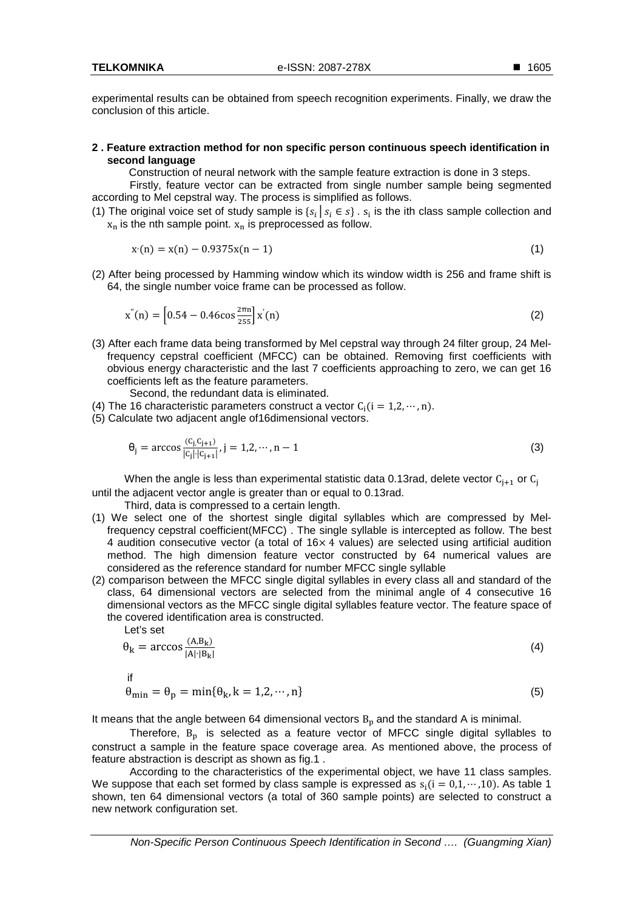experimental results can be obtained from speech recognition experiments. Finally, we draw the conclusion of this article.

### **2 . Feature extraction method for non specific person continuous speech identification in second language**

Construction of neural network with the sample feature extraction is done in 3 steps.

Firstly, feature vector can be extracted from single number sample being segmented according to Mel cepstral way. The process is simplified as follows.

(1) The original voice set of study sample is  $\{s_i | s_i \in s\}$ .  $s_i$  is the ith class sample collection and  $x_n$  is the nth sample point.  $x_n$  is preprocessed as follow.

$$
x'(n) = x(n) - 0.9375x(n-1)
$$
\n(1)

(2) After being processed by Hamming window which its window width is 256 and frame shift is 64, the single number voice frame can be processed as follow.

$$
x''(n) = \left[0.54 - 0.46 \cos \frac{2\pi n}{255} \right] x'(n)
$$
 (2)

(3) After each frame data being transformed by Mel cepstral way through 24 filter group, 24 Melfrequency cepstral coefficient (MFCC) can be obtained. Removing first coefficients with obvious energy characteristic and the last 7 coefficients approaching to zero, we can get 16 coefficients left as the feature parameters.

Second, the redundant data is eliminated.

- (4) The 16 characteristic parameters construct a vector  $C_i(i = 1,2,\dots, n)$ .
- (5) Calculate two adjacent angle of16dimensional vectors.

$$
\theta_{j} = \arccos \frac{(c_{j}c_{j+1})}{|c_{j}| |c_{j+1}|}, j = 1, 2, \cdots, n-1
$$
\n(3)

When the angle is less than experimental statistic data 0.13rad, delete vector  $\mathsf{C}_{\mathsf{j+1}}$  or  $\mathsf{C}_{\mathsf{j}}$ until the adjacent vector angle is greater than or equal to 0.13rad.

Third, data is compressed to a certain length.

- (1) We select one of the shortest single digital syllables which are compressed by Melfrequency cepstral coefficient(MFCC) . The single syllable is intercepted as follow. The best 4 audition consecutive vector (a total of  $16\times4$  values) are selected using artificial audition method. The high dimension feature vector constructed by 64 numerical values are considered as the reference standard for number MFCC single syllable
- (2) comparison between the MFCC single digital syllables in every class all and standard of the class, 64 dimensional vectors are selected from the minimal angle of 4 consecutive 16 dimensional vectors as the MFCC single digital syllables feature vector. The feature space of the covered identification area is constructed.

Let's set

$$
\theta_{k} = \arccos \frac{(A, B_{k})}{|A| \cdot |B_{k}|} \tag{4}
$$

if

$$
\theta_{\min} = \theta_{\text{p}} = \min\{\theta_{\text{k}}, \text{k} = 1, 2, \cdots, \text{n}\}\tag{5}
$$

It means that the angle between 64 dimensional vectors  $B_p$  and the standard A is minimal.

Therefore,  $B_p$  is selected as a feature vector of MFCC single digital syllables to construct a sample in the feature space coverage area. As mentioned above, the process of feature abstraction is descript as shown as fig.1 .

According to the characteristics of the experimental object, we have 11 class samples. We suppose that each set formed by class sample is expressed as  $s_i(i = 0, 1, \dots, 10)$ . As table 1 shown, ten 64 dimensional vectors (a total of 360 sample points) are selected to construct a new network configuration set.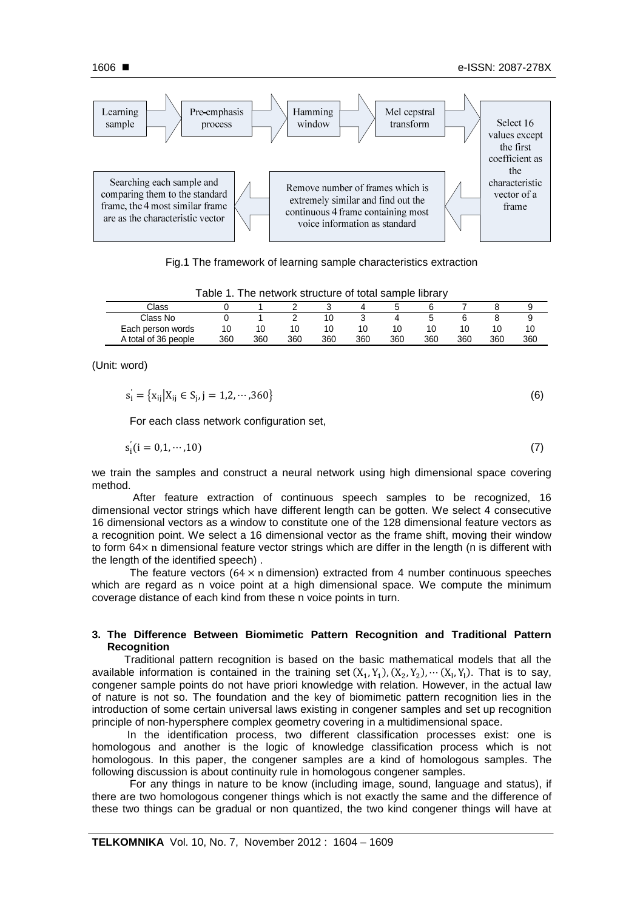

Fig.1 The framework of learning sample characteristics extraction

| Table 1. The network structure of total sample library |     |     |     |     |     |     |     |     |     |     |
|--------------------------------------------------------|-----|-----|-----|-----|-----|-----|-----|-----|-----|-----|
| Class                                                  |     |     |     |     |     |     |     |     |     |     |
| Class No                                               |     |     |     | 10  |     |     |     |     |     |     |
| Each person words                                      | 10  | 10  | 10  | 10  | 10  | 10  | 10  |     | 10  | 10  |
| A total of 36 people                                   | 360 | 360 | 360 | 360 | 360 | 360 | 360 | 360 | 360 | 360 |

(Unit: word)

$$
s_i' = \{x_{ij} | X_{ij} \in S_j, j = 1, 2, \cdots, 360\}
$$
 (6)

For each class network configuration set,

$$
s_i'(i = 0, 1, \cdots, 10)
$$
 (7)

we train the samples and construct a neural network using high dimensional space covering method.

 After feature extraction of continuous speech samples to be recognized, 16 dimensional vector strings which have different length can be gotten. We select 4 consecutive 16 dimensional vectors as a window to constitute one of the 128 dimensional feature vectors as a recognition point. We select a 16 dimensional vector as the frame shift, moving their window to form 64× n dimensional feature vector strings which are differ in the length (n is different with the length of the identified speech) .

The feature vectors ( $64 \times n$  dimension) extracted from 4 number continuous speeches which are regard as n voice point at a high dimensional space. We compute the minimum coverage distance of each kind from these n voice points in turn.

## **3. The Difference Between Biomimetic Pattern Recognition and Traditional Pattern Recognition**

Traditional pattern recognition is based on the basic mathematical models that all the available information is contained in the training set  $(X_1, Y_1), (X_2, Y_2), \cdots (X_l, Y_l)$ . That is to say, congener sample points do not have priori knowledge with relation. However, in the actual law of nature is not so. The foundation and the key of biomimetic pattern recognition lies in the introduction of some certain universal laws existing in congener samples and set up recognition principle of non-hypersphere complex geometry covering in a multidimensional space.

 In the identification process, two different classification processes exist: one is homologous and another is the logic of knowledge classification process which is not homologous. In this paper, the congener samples are a kind of homologous samples. The following discussion is about continuity rule in homologous congener samples.

For any things in nature to be know (including image, sound, language and status), if there are two homologous congener things which is not exactly the same and the difference of these two things can be gradual or non quantized, the two kind congener things will have at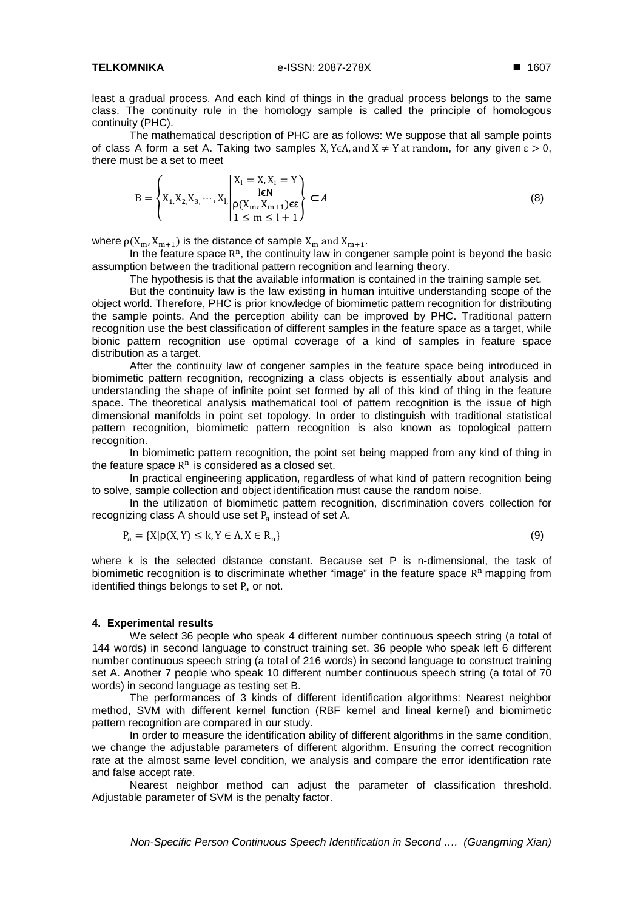least a gradual process. And each kind of things in the gradual process belongs to the same class. The continuity rule in the homology sample is called the principle of homologous continuity (PHC).

The mathematical description of PHC are as follows: We suppose that all sample points of class A form a set A. Taking two samples X, Y $\epsilon A$ , and  $X \neq Y$  at random, for any given  $\epsilon > 0$ , there must be a set to meet

$$
B = \left\{ X_1, X_2, X_3, \cdots, X_l \middle| \begin{aligned} X_1 &= X, X_1 = Y \\ \text{I} & \in \mathbb{N} \\ 1 &\le m \le l+1 \end{aligned} \right\} \subset A \tag{8}
$$

where  $\rho(X_m, X_{m+1})$  is the distance of sample  $X_m$  and  $X_{m+1}$ .

In the feature space  $R<sup>n</sup>$ , the continuity law in congener sample point is beyond the basic assumption between the traditional pattern recognition and learning theory.

The hypothesis is that the available information is contained in the training sample set.

But the continuity law is the law existing in human intuitive understanding scope of the object world. Therefore, PHC is prior knowledge of biomimetic pattern recognition for distributing the sample points. And the perception ability can be improved by PHC. Traditional pattern recognition use the best classification of different samples in the feature space as a target, while bionic pattern recognition use optimal coverage of a kind of samples in feature space distribution as a target.

After the continuity law of congener samples in the feature space being introduced in biomimetic pattern recognition, recognizing a class objects is essentially about analysis and understanding the shape of infinite point set formed by all of this kind of thing in the feature space. The theoretical analysis mathematical tool of pattern recognition is the issue of high dimensional manifolds in point set topology. In order to distinguish with traditional statistical pattern recognition, biomimetic pattern recognition is also known as topological pattern recognition.

In biomimetic pattern recognition, the point set being mapped from any kind of thing in the feature space  $R<sup>n</sup>$  is considered as a closed set.

In practical engineering application, regardless of what kind of pattern recognition being to solve, sample collection and object identification must cause the random noise.

In the utilization of biomimetic pattern recognition, discrimination covers collection for recognizing class A should use set  $P_a$  instead of set A.

$$
P_a = \{X \mid \rho(X, Y) \le k, Y \in A, X \in R_n\}
$$
\n
$$
(9)
$$

where k is the selected distance constant. Because set P is n-dimensional, the task of biomimetic recognition is to discriminate whether "image" in the feature space R<sup>n</sup> mapping from identified things belongs to set  $P_a$  or not.

#### **4. Experimental results**

We select 36 people who speak 4 different number continuous speech string (a total of 144 words) in second language to construct training set. 36 people who speak left 6 different number continuous speech string (a total of 216 words) in second language to construct training set A. Another 7 people who speak 10 different number continuous speech string (a total of 70 words) in second language as testing set B.

The performances of 3 kinds of different identification algorithms: Nearest neighbor method, SVM with different kernel function (RBF kernel and lineal kernel) and biomimetic pattern recognition are compared in our study.

In order to measure the identification ability of different algorithms in the same condition, we change the adjustable parameters of different algorithm. Ensuring the correct recognition rate at the almost same level condition, we analysis and compare the error identification rate and false accept rate.

Nearest neighbor method can adjust the parameter of classification threshold. Adjustable parameter of SVM is the penalty factor.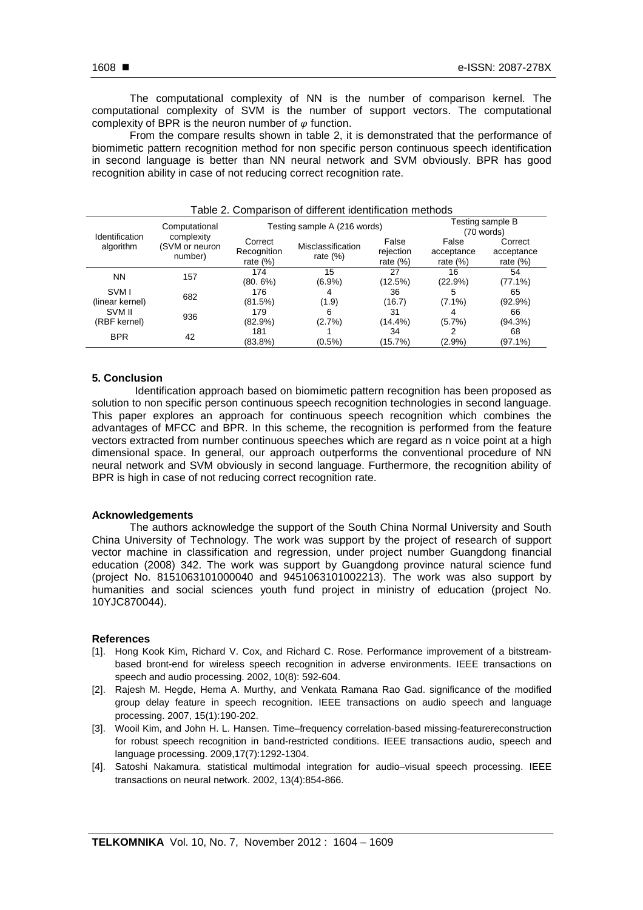From the compare results shown in table 2, it is demonstrated that the performance of biomimetic pattern recognition method for non specific person continuous speech identification in second language is better than NN neural network and SVM obviously. BPR has good recognition ability in case of not reducing correct recognition rate.

| Identification<br>algorithm | Computational<br>complexity<br>(SVM or neuron<br>number) |                                       | Testing sample A (216 words)     | Testing sample B<br>(70 words)    |                                    |                                      |
|-----------------------------|----------------------------------------------------------|---------------------------------------|----------------------------------|-----------------------------------|------------------------------------|--------------------------------------|
|                             |                                                          | Correct<br>Recognition<br>rate $(\%)$ | Misclassification<br>rate $(\%)$ | False<br>rejection<br>rate $(\%)$ | False<br>acceptance<br>rate $(\%)$ | Correct<br>acceptance<br>rate $(\%)$ |
| <b>NN</b>                   | 157                                                      | 174                                   | 15                               | 27                                | 16                                 | 54                                   |
| SVM I<br>(linear kernel)    | 682                                                      | $(80.6\%)$<br>176<br>(81.5%)          | $(6.9\%)$<br>4<br>(1.9)          | (12.5%)<br>36<br>(16.7)           | (22.9%)<br>5<br>$(7.1\%)$          | $(77.1\%)$<br>65<br>$(92.9\%)$       |
| SVM II<br>(RBF kernel)      | 936                                                      | 179<br>$(82.9\%)$                     | 6<br>(2.7%)                      | 31<br>(14.4%)                     | 4<br>(5.7%)                        | 66<br>(94.3%)                        |
| <b>BPR</b>                  | 42                                                       | 181<br>$(83.8\%)$                     | $(0.5\%)$                        | 34<br>(15.7%)                     | (2.9%)                             | 68<br>(97.1%)                        |

|  |  | Table 2. Comparison of different identification methods |  |  |  |
|--|--|---------------------------------------------------------|--|--|--|
|--|--|---------------------------------------------------------|--|--|--|

## **5. Conclusion**

Identification approach based on biomimetic pattern recognition has been proposed as solution to non specific person continuous speech recognition technologies in second language. This paper explores an approach for continuous speech recognition which combines the advantages of MFCC and BPR. In this scheme, the recognition is performed from the feature vectors extracted from number continuous speeches which are regard as n voice point at a high dimensional space. In general, our approach outperforms the conventional procedure of NN neural network and SVM obviously in second language. Furthermore, the recognition ability of BPR is high in case of not reducing correct recognition rate.

## **Acknowledgements**

The authors acknowledge the support of the South China Normal University and South China University of Technology. The work was support by the project of research of support vector machine in classification and regression, under project number Guangdong financial education (2008) 342. The work was support by Guangdong province natural science fund (project No. 8151063101000040 and 9451063101002213). The work was also support by humanities and social sciences youth fund project in ministry of education (project No. 10YJC870044).

## **References**

- [1]. Hong Kook Kim, Richard V. Cox, and Richard C. Rose. Performance improvement of a bitstreambased bront-end for wireless speech recognition in adverse environments. IEEE transactions on speech and audio processing. 2002, 10(8): 592-604.
- [2]. Rajesh M. Hegde, Hema A. Murthy, and Venkata Ramana Rao Gad. significance of the modified group delay feature in speech recognition. IEEE transactions on audio speech and language processing. 2007, 15(1):190-202.
- [3]. Wooil Kim, and John H. L. Hansen. Time–frequency correlation-based missing-featurereconstruction for robust speech recognition in band-restricted conditions. IEEE transactions audio, speech and language processing. 2009,17(7):1292-1304.
- [4]. Satoshi Nakamura. statistical multimodal integration for audio–visual speech processing. IEEE transactions on neural network. 2002, 13(4):854-866.